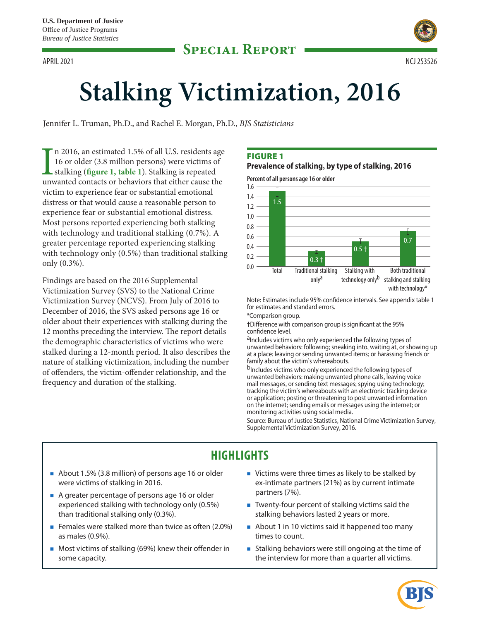APRIL 2021 NCJ 253526



# **Stalking Victimization, 2016**

Jennifer L. Truman, Ph.D., and Rachel E. Morgan, Ph.D., *BJS Statisticians* 

In 2016, an estimated 1.5% of all U.S. residents age 16 or older (3.8 million persons) were victims of stalking (figure 1, table 1). Stalking is repeated unwanted contacts or behaviors that either cause the n 2016, an estimated 1.5% of all U.S. residents age 16 or older (3.8 million persons) were victims of stalking (**fgure 1, table 1**). Stalking is repeated victim to experience fear or substantial emotional distress or that would cause a reasonable person to experience fear or substantial emotional distress. Most persons reported experiencing both stalking with technology and traditional stalking (0.7%). A greater percentage reported experiencing stalking with technology only (0.5%) than traditional stalking only (0.3%).

Findings are based on the 2016 Supplemental Victimization Survey (SVS) to the National Crime Victimization Survey (NCVS). From July of 2016 to December of 2016, the SVS asked persons age 16 or older about their experiences with stalking during the 12 months preceding the interview. The report details the demographic characteristics of victims who were stalked during a 12-month period. It also describes the nature of stalking victimization, including the number of ofenders, the victim-ofender relationship, and the frequency and duration of the stalking.

# FIGURE 1

# **Prevalence of stalking, by type of stalking, 2016**

**Percent of all persons age 16 or older** 



Note: Estimates include 95% confdence intervals. See appendix table 1 for estimates and standard errors.

\*Comparison group.

†Diference with comparison group is signifcant at the 95% confdence level.

aIncludes victims who only experienced the following types of unwanted behaviors: following; sneaking into, waiting at, or showing up at a place; leaving or sending unwanted items; or harassing friends or family about the victim's whereabouts.

bIncludes victims who only experienced the following types of unwanted behaviors: making unwanted phone calls, leaving voice mail messages, or sending text messages; spying using technology; tracking the victim's whereabouts with an electronic tracking device or application; posting or threatening to post unwanted information on the internet; sending emails or messages using the internet; or monitoring activities using social media.

Source: Bureau of Justice Statistics, National Crime Victimization Survey, Supplemental Victimization Survey, 2016.

# **HIGHLIGHTS**

- About 1.5% (3.8 million) of persons age 16 or older were victims of stalking in 2016.
- A greater percentage of persons age 16 or older experienced stalking with technology only (0.5%) than traditional stalking only (0.3%).
- Females were stalked more than twice as often  $(2.0\%)$ as males (0.9%).
- Most victims of stalking (69%) knew their offender in some capacity.
- Victims were three times as likely to be stalked by ex-intimate partners (21%) as by current intimate partners (7%).
- Twenty-four percent of stalking victims said the stalking behaviors lasted 2 years or more.
- About 1 in 10 victims said it happened too many times to count.
- **Stalking behaviors were still ongoing at the time of** the interview for more than a quarter all victims.

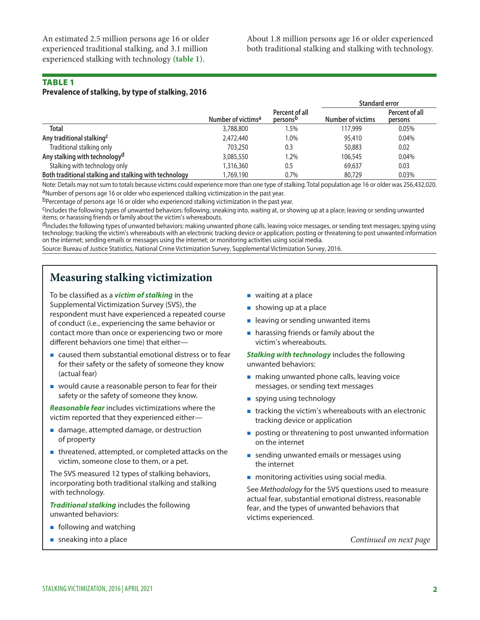An estimated 2.5 million persons age 16 or older experienced traditional stalking, and 3.1 million experienced stalking with technology **(table 1)**.

About 1.8 million persons age 16 or older experienced both traditional stalking and stalking with technology.

#### TABLE 1

#### **Prevalence of stalking, by type of stalking, 2016**

|                                                        |                                |                                        | Standard error    |                           |  |
|--------------------------------------------------------|--------------------------------|----------------------------------------|-------------------|---------------------------|--|
|                                                        | Number of victims <sup>a</sup> | Percent of all<br>persons <sup>p</sup> | Number of victims | Percent of all<br>persons |  |
| <b>Total</b>                                           | 3,788,800                      | 1.5%                                   | 117,999           | 0.05%                     |  |
| Any traditional stalking <sup>c</sup>                  | 2,472,440                      | $1.0\%$                                | 95,410            | 0.04%                     |  |
| Traditional stalking only                              | 703,250                        | 0.3                                    | 50,883            | 0.02                      |  |
| Any stalking with technology <sup>d</sup>              | 3,085,550                      | 1.2%                                   | 106,545           | 0.04%                     |  |
| Stalking with technology only                          | 1,316,360                      | 0.5                                    | 69,637            | 0.03                      |  |
| Both traditional stalking and stalking with technology | 1,769,190                      | 0.7%                                   | 80,729            | 0.03%                     |  |

Note: Details may not sum to totals because victims could experience more than one type of stalking. Total population age 16 or older was 256,432,020.<br><sup>a</sup>Number of persons age 16 or older who experienced stalking victimiza

bPercentage of persons age 16 or older who experienced stalking victimization in the past year.

<sup>C</sup>Includes the following types of unwanted behaviors: following; sneaking into, waiting at, or showing up at a place; leaving or sending unwanted items; or harassing friends or family about the victim's whereabouts.

<sup>d</sup>Includes the following types of unwanted behaviors: making unwanted phone calls, leaving voice messages, or sending text messages; spying using technology; tracking the victim's whereabouts with an electronic tracking device or application; posting or threatening to post unwanted information on the internet; sending emails or messages using the internet; or monitoring activities using social media.

Source: Bureau of Justice Statistics, National Crime Victimization Survey, Supplemental Victimization Survey, 2016.

# **Measuring stalking victimization**

To be classifed as a *victim of stalking* in the Supplemental Victimization Survey (SVS), the respondent must have experienced a repeated course of conduct (i.e., experiencing the same behavior or contact more than once or experiencing two or more diferent behaviors one time) that either—

- caused them substantial emotional distress or to fear for their safety or the safety of someone they know (actual fear)
- would cause a reasonable person to fear for their safety or the safety of someone they know.

*Reasonable fear* includes victimizations where the victim reported that they experienced either—

- damage, attempted damage, or destruction of property
- threatened, attempted, or completed attacks on the victim, someone close to them, or a pet.

The SVS measured 12 types of stalking behaviors, incorporating both traditional stalking and stalking with technology.

*Traditional stalking* includes the following unwanted behaviors:

- $\blacksquare$  following and watching
- sneaking into a place
- waiting at a place
- $\blacksquare$  showing up at a place
- $\blacksquare$  leaving or sending unwanted items
- **harassing friends or family about the** victim's whereabouts.

*Stalking with technology* includes the following unwanted behaviors:

- $\blacksquare$  making unwanted phone calls, leaving voice messages, or sending text messages
- spying using technology
- $\blacksquare$  tracking the victim's whereabouts with an electronic tracking device or application
- posting or threatening to post unwanted information on the internet
- sending unwanted emails or messages using the internet
- **n** monitoring activities using social media.

See *Methodology* for the SVS questions used to measure actual fear, substantial emotional distress, reasonable fear, and the types of unwanted behaviors that victims experienced.

*Continued on next page*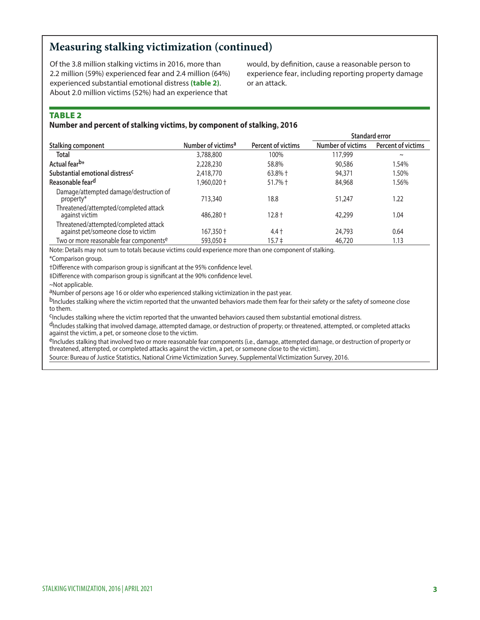# **Measuring stalking victimization (continued)**

Of the 3.8 million stalking victims in 2016, more than 2.2 million (59%) experienced fear and 2.4 million (64%) experienced substantial emotional distress **(table 2)**. About 2.0 million victims (52%) had an experience that

would, by defnition, cause a reasonable person to experience fear, including reporting property damage or an attack.

# TABLE 2

**Number and percent of stalking victims, by component of stalking, 2016** 

|                                                                              |                                |                           | <b>Standard error</b>    |                    |  |
|------------------------------------------------------------------------------|--------------------------------|---------------------------|--------------------------|--------------------|--|
| <b>Stalking component</b>                                                    | Number of victims <sup>a</sup> | <b>Percent of victims</b> | <b>Number of victims</b> | Percent of victims |  |
| Total                                                                        | 3,788,800                      | 100%                      | 117,999                  | $\sim$             |  |
| Actual fearb*                                                                | 2,228,230                      | 58.8%                     | 90,586                   | 1.54%              |  |
| Substantial emotional distress <sup>c</sup>                                  | 2,418,770                      | $63.8%$ †                 | 94,371                   | 1.50%              |  |
| Reasonable fear <sup>d</sup>                                                 | 1,960,020 +                    | $51.7%$ †                 | 84,968                   | 1.56%              |  |
| Damage/attempted damage/destruction of<br>property*                          | 713,340                        | 18.8                      | 51,247                   | 1.22               |  |
| Threatened/attempted/completed attack<br>against victim                      | 486,280 +                      | $12.8 +$                  | 42,299                   | 1.04               |  |
| Threatened/attempted/completed attack<br>against pet/someone close to victim | $167,350 \text{ }^{\circ}$     | $4.4 +$                   | 24,793                   | 0.64               |  |
| Two or more reasonable fear componentse                                      | 593,050 ‡                      | $15.7 \pm$                | 46,720                   | 1.13               |  |

Note: Details may not sum to totals because victims could experience more than one component of stalking. \*Comparison group.

†Diference with comparison group is signifcant at the 95% confdence level.

‡Diference with comparison group is signifcant at the 90% confdence level.

~Not applicable.

aNumber of persons age 16 or older who experienced stalking victimization in the past year.

bIncludes stalking where the victim reported that the unwanted behaviors made them fear for their safety or the safety of someone close to them.

cIncludes stalking where the victim reported that the unwanted behaviors caused them substantial emotional distress.

dIncludes stalking that involved damage, attempted damage, or destruction of property; or threatened, attempted, or completed attacks against the victim, a pet, or someone close to the victim.

eIncludes stalking that involved two or more reasonable fear components (i.e., damage, attempted damage, or destruction of property or threatened, attempted, or completed attacks against the victim, a pet, or someone close to the victim).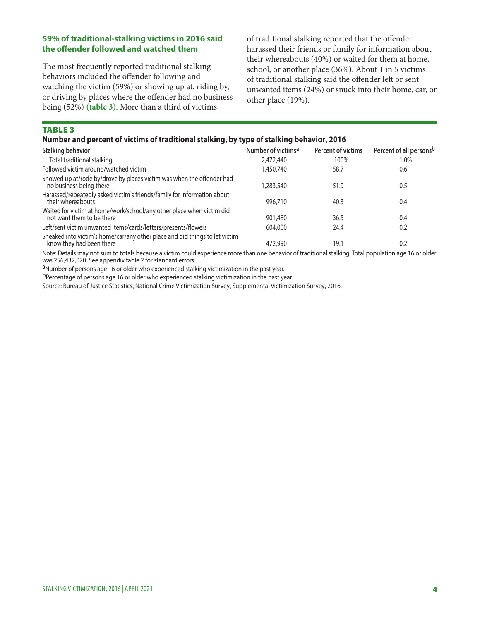# **59% of traditional-stalking victims in 2016 said the ofender followed and watched them**

The most frequently reported traditional stalking behaviors included the ofender following and watching the victim (59%) or showing up at, riding by, or driving by places where the ofender had no business being (52%) **(table 3)**. More than a third of victims

of traditional stalking reported that the ofender harassed their friends or family for information about their whereabouts (40%) or waited for them at home, school, or another place (36%). About 1 in 5 victims of traditional stalking said the offender left or sent unwanted items (24%) or snuck into their home, car, or other place (19%).

# TABLE 3

# **Number and percent of victims of traditional stalking, by type of stalking behavior, 2016**

| <b>Stalking behavior</b>                                                                                | Number of victims <sup>a</sup> | Percent of victims | Percent of all personsb |
|---------------------------------------------------------------------------------------------------------|--------------------------------|--------------------|-------------------------|
| Total traditional stalking                                                                              | 2,472,440                      | 100%               | 1.0%                    |
| Followed victim around/watched victim                                                                   | 1,450,740                      | 58.7               | 0.6                     |
| Showed up at/rode by/drove by places victim was when the offender had<br>no business being there        | 1,283,540                      | 51.9               | 0.5                     |
| Harassed/repeatedly asked victim's friends/family for information about<br>their whereabouts            | 996,710                        | 40.3               | 0.4                     |
| Waited for victim at home/work/school/any other place when victim did<br>not want them to be there      | 901,480                        | 36.5               | 0.4                     |
| Left/sent victim unwanted items/cards/letters/presents/flowers                                          | 604,000                        | 24.4               | 0.2                     |
| Sneaked into victim's home/car/any other place and did things to let victim<br>know they had been there | 472,990                        | 19.1               | 0.2                     |

Note: Details may not sum to totals because a victim could experience more than one behavior of traditional stalking. Total population age 16 or older was 256,432,020. See appendix table 2 for standard errors.

<sup>a</sup>Number of persons age 16 or older who experienced stalking victimization in the past year.

bPercentage of persons age 16 or older who experienced stalking victimization in the past year.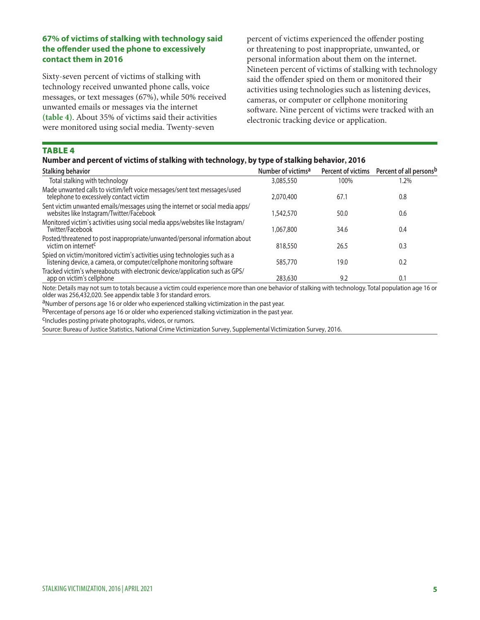# **67% of victims of stalking with technology said the ofender used the phone to excessively contact them in 2016**

Sixty-seven percent of victims of stalking with technology received unwanted phone calls, voice messages, or text messages (67%), while 50% received unwanted emails or messages via the internet **(table 4)**. About 35% of victims said their activities were monitored using social media. Twenty-seven

percent of victims experienced the offender posting or threatening to post inappropriate, unwanted, or personal information about them on the internet. Nineteen percent of victims of stalking with technology said the offender spied on them or monitored their activities using technologies such as listening devices, cameras, or computer or cellphone monitoring software. Nine percent of victims were tracked with an electronic tracking device or application.

# TABLE 4

# **Number and percent of victims of stalking with technology, by type of stalking behavior, 2016**

| Number of victims <sup>a</sup> |      | Percent of victims Percent of all personsb |
|--------------------------------|------|--------------------------------------------|
| 3,085,550                      | 100% | $1.2\%$                                    |
| 2,070,400                      | 67.1 | 0.8                                        |
| 1.542.570                      | 50.0 | 0.6                                        |
| 067.800                        | 34.6 | 0.4                                        |
| 818,550                        | 26.5 | 0.3                                        |
| 585,770                        | 19.0 | 0.2                                        |
| 283,630                        | 9.2  | 0.1                                        |
|                                |      |                                            |

Note: Details may not sum to totals because a victim could experience more than one behavior of stalking with technology. Total population age 16 or older was 256,432,020. See appendix table 3 for standard errors.

<sup>a</sup>Number of persons age 16 or older who experienced stalking victimization in the past year.

bPercentage of persons age 16 or older who experienced stalking victimization in the past year.

<sup>C</sup>Includes posting private photographs, videos, or rumors.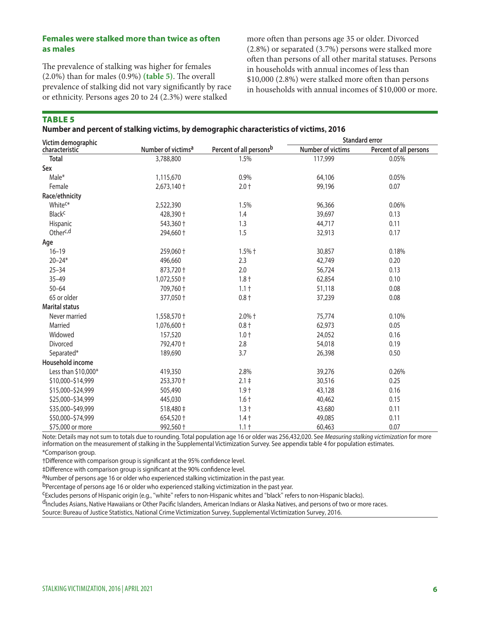# **Females were stalked more than twice as often as males**

The prevalence of stalking was higher for females (2.0%) than for males (0.9%) (table 5). The overall prevalence of stalking did not vary signifcantly by race or ethnicity. Persons ages 20 to 24 (2.3%) were stalked

more often than persons age 35 or older. Divorced (2.8%) or separated (3.7%) persons were stalked more ofen than persons of all other marital statuses. Persons in households with annual incomes of less than \$10,000 (2.8%) were stalked more ofen than persons in households with annual incomes of \$10,000 or more.

#### TABLE 5

**Number and percent of stalking victims, by demographic characteristics of victims, 2016** 

| Victim demographic       |                                |                         |                          | <b>Standard error</b>  |
|--------------------------|--------------------------------|-------------------------|--------------------------|------------------------|
| characteristic           | Number of victims <sup>a</sup> | Percent of all personsb | <b>Number of victims</b> | Percent of all persons |
| <b>Total</b>             | 3,788,800                      | 1.5%                    | 117,999                  | 0.05%                  |
| Sex                      |                                |                         |                          |                        |
| Male*                    | 1,115,670                      | 0.9%                    | 64,106                   | 0.05%                  |
| Female                   | 2,673,140 +                    | $2.0 +$                 | 99,196                   | 0.07                   |
| Race/ethnicity           |                                |                         |                          |                        |
| White <sup>C*</sup>      | 2,522,390                      | 1.5%                    | 96,366                   | 0.06%                  |
| <b>Black<sup>c</sup></b> | 428,390 +                      | 1.4                     | 39,697                   | 0.13                   |
| Hispanic                 | 543,360 +                      | 1.3                     | 44,717                   | 0.11                   |
| Otherc,d                 | 294,660 +                      | 1.5                     | 32,913                   | 0.17                   |
| Age                      |                                |                         |                          |                        |
| $16 - 19$                | 259,060 +                      | $1.5%$ †                | 30,857                   | 0.18%                  |
| $20 - 24*$               | 496,660                        | 2.3                     | 42,749                   | 0.20                   |
| $25 - 34$                | 873,720 +                      | 2.0                     | 56,724                   | 0.13                   |
| $35 - 49$                | 1,072,550 +                    | $1.8 +$                 | 62,854                   | 0.10                   |
| $50 - 64$                | 709,760 +                      | $1.1 +$                 | 51,118                   | 0.08                   |
| 65 or older              | 377,050 +                      | $0.8 +$                 | 37,239                   | 0.08                   |
| <b>Marital status</b>    |                                |                         |                          |                        |
| Never married            | 1,558,570 +                    | $2.0\%$ †               | 75,774                   | 0.10%                  |
| Married                  | 1,076,600 +                    | $0.8 +$                 | 62,973                   | 0.05                   |
| Widowed                  | 157,520                        | $1.0 +$                 | 24,052                   | 0.16                   |
| Divorced                 | 792,470 +                      | 2.8                     | 54,018                   | 0.19                   |
| Separated*               | 189,690                        | 3.7                     | 26,398                   | 0.50                   |
| Household income         |                                |                         |                          |                        |
| Less than \$10,000*      | 419,350                        | 2.8%                    | 39,276                   | 0.26%                  |
| \$10,000-\$14,999        | 253,370 +                      | $2.1 \pm$               | 30,516                   | 0.25                   |
| \$15,000-\$24,999        | 505,490                        | $1.9+$                  | 43,128                   | 0.16                   |
| \$25,000-\$34,999        | 445,030                        | $1.6+$                  | 40,462                   | 0.15                   |
| \$35,000-\$49,999        | 518,480 ‡                      | $1.3 +$                 | 43,680                   | 0.11                   |
| \$50,000-\$74,999        | 654,520 +                      | $1.4 +$                 | 49,085                   | 0.11                   |
| \$75,000 or more         | 992,560 +                      | $1.1 +$                 | 60,463                   | 0.07                   |

Note: Details may not sum to totals due to rounding. Total population age 16 or older was 256,432,020. See *Measuring stalking victimization* for more information on the measurement of stalking in the Supplemental Victimization Survey. See appendix table 4 for population estimates. \*Comparison group.

†Diference with comparison group is signifcant at the 95% confdence level.

‡Diference with comparison group is signifcant at the 90% confdence level.

aNumber of persons age 16 or older who experienced stalking victimization in the past year.

bPercentage of persons age 16 or older who experienced stalking victimization in the past year.

cExcludes persons of Hispanic origin (e.g., "white" refers to non-Hispanic whites and "black" refers to non-Hispanic blacks).

dIncludes Asians, Native Hawaiians or Other Pacific Islanders, American Indians or Alaska Natives, and persons of two or more races.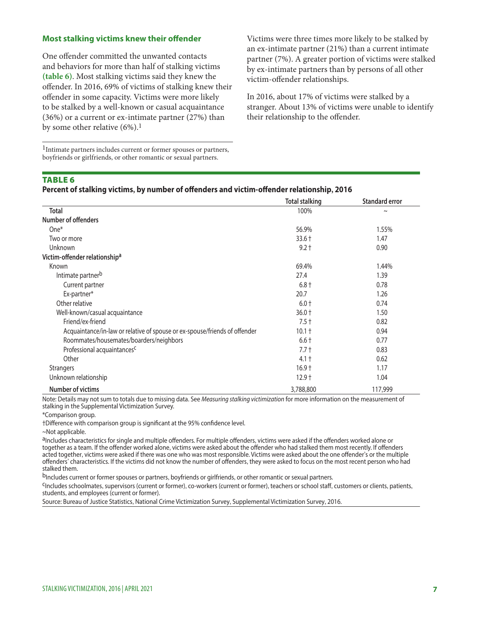# **Most stalking victims knew their ofender**

One ofender committed the unwanted contacts and behaviors for more than half of stalking victims **(table 6)**. Most stalking victims said they knew the ofender. In 2016, 69% of victims of stalking knew their ofender in some capacity. Victims were more likely to be stalked by a well-known or casual acquaintance (36%) or a current or ex-intimate partner (27%) than by some other relative (6%).<sup>1</sup>

Victims were three times more likely to be stalked by an ex-intimate partner (21%) than a current intimate partner (7%). A greater portion of victims were stalked by ex-intimate partners than by persons of all other victim-ofender relationships.

In 2016, about 17% of victims were stalked by a stranger. About 13% of victims were unable to identify their relationship to the ofender.

1Intimate partners includes current or former spouses or partners, boyfriends or girlfriends, or other romantic or sexual partners.

# TABLE 6

# **Percent of stalking victims, by number of ofenders and victim-ofender relationship, 2016**

|                                                                            | <b>Total stalking</b> | <b>Standard error</b> |
|----------------------------------------------------------------------------|-----------------------|-----------------------|
| <b>Total</b>                                                               | 100%                  | $\sim$                |
| <b>Number of offenders</b>                                                 |                       |                       |
| $One*$                                                                     | 56.9%                 | 1.55%                 |
| Two or more                                                                | $33.6 +$              | 1.47                  |
| Unknown                                                                    | $9.2 +$               | 0.90                  |
| Victim-offender relationship <sup>a</sup>                                  |                       |                       |
| Known                                                                      | 69.4%                 | 1.44%                 |
| Intimate partnerb                                                          | 27.4                  | 1.39                  |
| Current partner                                                            | $6.8 +$               | 0.78                  |
| Ex-partner*                                                                | 20.7                  | 1.26                  |
| Other relative                                                             | $6.0 +$               | 0.74                  |
| Well-known/casual acquaintance                                             | $36.0 +$              | 1.50                  |
| Friend/ex-friend                                                           | $7.5 +$               | 0.82                  |
| Acquaintance/in-law or relative of spouse or ex-spouse/friends of offender | $10.1 +$              | 0.94                  |
| Roommates/housemates/boarders/neighbors                                    | $6.6 +$               | 0.77                  |
| Professional acquaintances <sup>c</sup>                                    | $7.7 +$               | 0.83                  |
| Other                                                                      | $4.1 +$               | 0.62                  |
| Strangers                                                                  | $16.9 +$              | 1.17                  |
| Unknown relationship                                                       | $12.9 +$              | 1.04                  |
| Number of victims                                                          | 3,788,800             | 117,999               |

Note: Details may not sum to totals due to missing data. See *Measuring stalking victimization* for more information on the measurement of stalking in the Supplemental Victimization Survey.

\*Comparison group.

†Diference with comparison group is signifcant at the 95% confdence level.

~Not applicable.

aIncludes characteristics for single and multiple offenders. For multiple offenders, victims were asked if the offenders worked alone or together as a team. If the ofender worked alone, victims were asked about the ofender who had stalked them most recently. If ofenders acted together, victims were asked if there was one who was most responsible. Victims were asked about the one ofender's or the multiple offenders' characteristics. If the victims did not know the number of offenders, they were asked to focus on the most recent person who had stalked them.

bincludes current or former spouses or partners, boyfriends or girlfriends, or other romantic or sexual partners.<br>Cincludes schoolmates, supervisors (current or former), co-workers (current or former), teachers or school s students, and employees (current or former).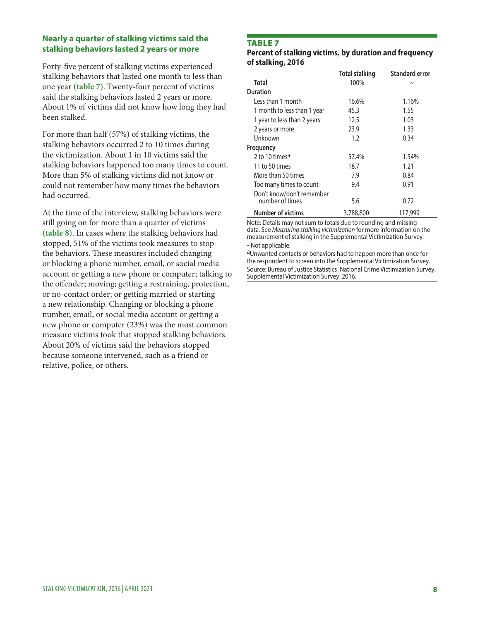# **Nearly a quarter of stalking victims said the stalking behaviors lasted 2 years or more**

Forty-fve percent of stalking victims experienced stalking behaviors that lasted one month to less than one year **(table 7)**. Twenty-four percent of victims said the stalking behaviors lasted 2 years or more. About 1% of victims did not know how long they had been stalked.

For more than half (57%) of stalking victims, the stalking behaviors occurred 2 to 10 times during the victimization. About 1 in 10 victims said the stalking behaviors happened too many times to count. More than 5% of stalking victims did not know or could not remember how many times the behaviors had occurred.

At the time of the interview, stalking behaviors were still going on for more than a quarter of victims **(table 8)**. In cases where the stalking behaviors had stopped, 51% of the victims took measures to stop the behaviors. These measures included changing or blocking a phone number, email, or social media account or getting a new phone or computer; talking to the offender; moving; getting a restraining, protection, or no-contact order; or getting married or starting a new relationship. Changing or blocking a phone number, email, or social media account or getting a new phone or computer (23%) was the most common measure victims took that stopped stalking behaviors. About 20% of victims said the behaviors stopped because someone intervened, such as a friend or relative, police, or others.

# TABLE 7

## **Percent of stalking victims, by duration and frequency of stalking, 2016**

|                                              | <b>Total stalking</b> | <b>Standard error</b> |
|----------------------------------------------|-----------------------|-----------------------|
| <b>Total</b>                                 | 100%                  |                       |
| Duration                                     |                       |                       |
| Less than 1 month                            | 16.6%                 | 1.16%                 |
| 1 month to less than 1 year                  | 45.3                  | 1.55                  |
| 1 year to less than 2 years                  | 12.5                  | 1.03                  |
| 2 years or more                              | 23.9                  | 1.33                  |
| Unknown                                      | 1.2                   | 0.34                  |
| Frequency                                    |                       |                       |
| 2 to 10 times <sup>a</sup>                   | 57.4%                 | 1.54%                 |
| 11 to 50 times                               | 18.7                  | 1.21                  |
| More than 50 times                           | 7.9                   | 0.84                  |
| Too many times to count                      | 9.4                   | 0.91                  |
| Don't know/don't remember<br>number of times | 5.6                   | 0.72                  |
| <b>Number of victims</b>                     | 3,788,800             | 117,999               |

Note: Details may not sum to totals due to rounding and missing data. See *Measuring stalking victimization* for more information on the measurement of stalking in the Supplemental Victimization Survey. ~Not applicable.

aUnwanted contacts or behaviors had to happen more than once for the respondent to screen into the Supplemental Victimization Survey. Source: Bureau of Justice Statistics, National Crime Victimization Survey, Supplemental Victimization Survey, 2016.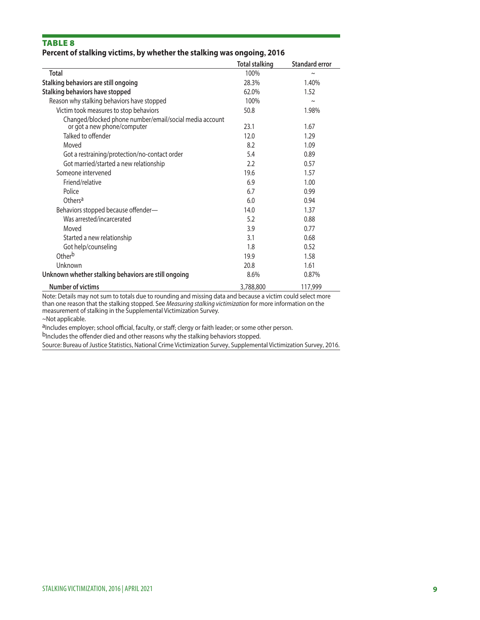# TABLE 8

# **Percent of stalking victims, by whether the stalking was ongoing, 2016**

|                                                                                        | <b>Total stalking</b> | <b>Standard error</b> |
|----------------------------------------------------------------------------------------|-----------------------|-----------------------|
| <b>Total</b>                                                                           | 100%                  | $\sim$                |
| Stalking behaviors are still ongoing                                                   | 28.3%                 | 1.40%                 |
| <b>Stalking behaviors have stopped</b>                                                 | 62.0%                 | 1.52                  |
| Reason why stalking behaviors have stopped                                             | 100%                  | $\thicksim$           |
| Victim took measures to stop behaviors                                                 | 50.8                  | 1.98%                 |
| Changed/blocked phone number/email/social media account<br>or got a new phone/computer | 23.1                  | 1.67                  |
| Talked to offender                                                                     | 12.0                  | 1.29                  |
| Moved                                                                                  | 8.2                   | 1.09                  |
| Got a restraining/protection/no-contact order                                          | 5.4                   | 0.89                  |
| Got married/started a new relationship                                                 | 2.2                   | 0.57                  |
| Someone intervened                                                                     | 19.6                  | 1.57                  |
| Friend/relative                                                                        | 6.9                   | 1.00                  |
| Police                                                                                 | 6.7                   | 0.99                  |
| Others <sup>a</sup>                                                                    | 6.0                   | 0.94                  |
| Behaviors stopped because offender-                                                    | 14.0                  | 1.37                  |
| Was arrested/incarcerated                                                              | 5.2                   | 0.88                  |
| Moved                                                                                  | 3.9                   | 0.77                  |
| Started a new relationship                                                             | 3.1                   | 0.68                  |
| Got help/counseling                                                                    | 1.8                   | 0.52                  |
| Other <sup>b</sup>                                                                     | 19.9                  | 1.58                  |
| Unknown                                                                                | 20.8                  | 1.61                  |
| Unknown whether stalking behaviors are still ongoing                                   | 8.6%                  | 0.87%                 |
| <b>Number of victims</b>                                                               | 3,788,800             | 117,999               |

Note: Details may not sum to totals due to rounding and missing data and because a victim could select more than one reason that the stalking stopped. See *Measuring stalking victimization* for more information on the measurement of stalking in the Supplemental Victimization Survey.

~Not applicable.

aIncludes employer; school official, faculty, or staff; clergy or faith leader; or some other person.

b<sub>Includes</sub> the offender died and other reasons why the stalking behaviors stopped.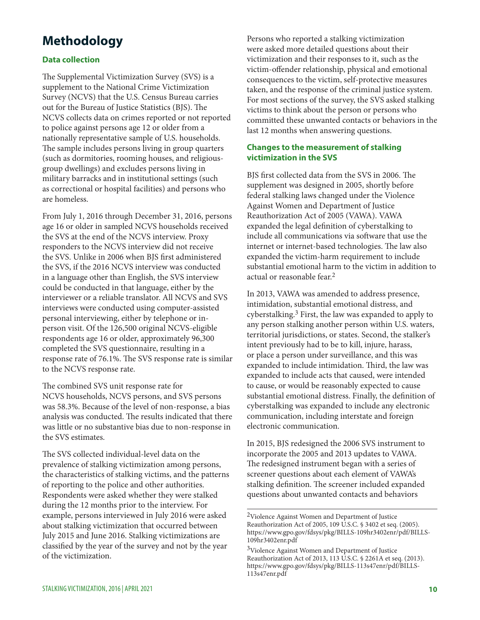# **Methodology**

# **Data collection**

The Supplemental Victimization Survey (SVS) is a supplement to the National Crime Victimization Survey (NCVS) that the U.S. Census Bureau carries out for the Bureau of Justice Statistics (BJS). The NCVS collects data on crimes reported or not reported to police against persons age 12 or older from a nationally representative sample of U.S. households. The sample includes persons living in group quarters (such as dormitories, rooming houses, and religiousgroup dwellings) and excludes persons living in military barracks and in institutional settings (such as correctional or hospital facilities) and persons who are homeless.

From July 1, 2016 through December 31, 2016, persons age 16 or older in sampled NCVS households received the SVS at the end of the NCVS interview. Proxy responders to the NCVS interview did not receive the SVS. Unlike in 2006 when BJS frst administered the SVS, if the 2016 NCVS interview was conducted in a language other than English, the SVS interview could be conducted in that language, either by the interviewer or a reliable translator. All NCVS and SVS interviews were conducted using computer-assisted personal interviewing, either by telephone or inperson visit. Of the 126,500 original NCVS-eligible respondents age 16 or older, approximately 96,300 completed the SVS questionnaire, resulting in a response rate of 76.1%. The SVS response rate is similar to the NCVS response rate.

The combined SVS unit response rate for NCVS households, NCVS persons, and SVS persons was 58.3%. Because of the level of non-response, a bias analysis was conducted. The results indicated that there was little or no substantive bias due to non-response in the SVS estimates.

The SVS collected individual-level data on the prevalence of stalking victimization among persons, the characteristics of stalking victims, and the patterns of reporting to the police and other authorities. Respondents were asked whether they were stalked during the 12 months prior to the interview. For example, persons interviewed in July 2016 were asked about stalking victimization that occurred between July 2015 and June 2016. Stalking victimizations are classifed by the year of the survey and not by the year of the victimization.

Persons who reported a stalking victimization were asked more detailed questions about their victimization and their responses to it, such as the victim-ofender relationship, physical and emotional consequences to the victim, self-protective measures taken, and the response of the criminal justice system. For most sections of the survey, the SVS asked stalking victims to think about the person or persons who committed these unwanted contacts or behaviors in the last 12 months when answering questions.

# **Changes to the measurement of stalking victimization in the SVS**

BJS first collected data from the SVS in 2006. The supplement was designed in 2005, shortly before federal stalking laws changed under the Violence Against Women and Department of Justice Reauthorization Act of 2005 (VAWA). VAWA expanded the legal defnition of cyberstalking to include all communications via software that use the internet or internet-based technologies. The law also expanded the victim-harm requirement to include substantial emotional harm to the victim in addition to actual or reasonable fear.2

In 2013, VAWA was amended to address presence, intimidation, substantial emotional distress, and cyberstalking.<sup>3</sup> First, the law was expanded to apply to any person stalking another person within U.S. waters, territorial jurisdictions, or states. Second, the stalker's intent previously had to be to kill, injure, harass, or place a person under surveillance, and this was expanded to include intimidation. Third, the law was expanded to include acts that caused, were intended to cause, or would be reasonably expected to cause substantial emotional distress. Finally, the defnition of cyberstalking was expanded to include any electronic communication, including interstate and foreign electronic communication.

In 2015, BJS redesigned the 2006 SVS instrument to incorporate the 2005 and 2013 updates to VAWA. The redesigned instrument began with a series of screener questions about each element of VAWA's stalking definition. The screener included expanded questions about unwanted contacts and behaviors

<sup>2</sup>Violence Against Women and Department of Justice Reauthorization Act of 2005, 109 U.S.C. § 3402 et seq. (2005). [https://www.gpo.gov/fdsys/pkg/BILLS-109hr3402enr/pdf/BILLS-](https://www.gpo.gov/fdsys/pkg/BILLS-109hr3402enr/pdf/BILLS)109hr3402enr.pdf

<sup>&</sup>lt;sup>3</sup>Violence Against Women and Department of Justice Reauthorization Act of 2013, 113 U.S.C. § 2261A et seq. (2013). <https://www.gpo.gov/fdsys/pkg/BILLS-113s47enr/pdf/BILLS>-113s47enr.pdf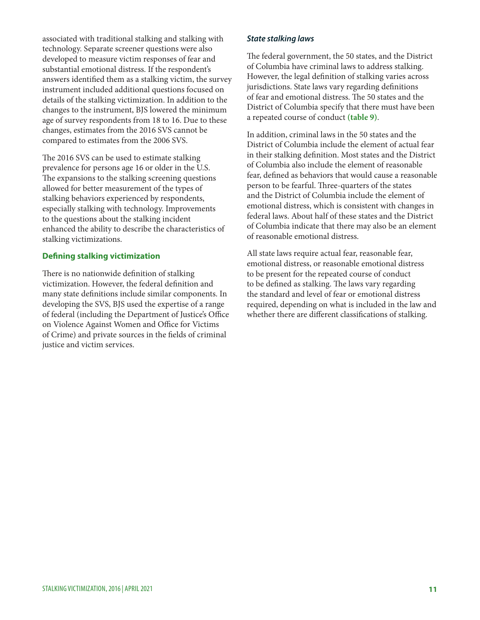associated with traditional stalking and stalking with technology. Separate screener questions were also developed to measure victim responses of fear and substantial emotional distress. If the respondent's answers identifed them as a stalking victim, the survey instrument included additional questions focused on details of the stalking victimization. In addition to the changes to the instrument, BJS lowered the minimum age of survey respondents from 18 to 16. Due to these changes, estimates from the 2016 SVS cannot be compared to estimates from the 2006 SVS.

The 2016 SVS can be used to estimate stalking prevalence for persons age 16 or older in the U.S. The expansions to the stalking screening questions allowed for better measurement of the types of stalking behaviors experienced by respondents, especially stalking with technology. Improvements to the questions about the stalking incident enhanced the ability to describe the characteristics of stalking victimizations.

# **Defning stalking victimization**

There is no nationwide definition of stalking victimization. However, the federal defnition and many state defnitions include similar components. In developing the SVS, BJS used the expertise of a range of federal (including the Department of Justice's Office on Violence Against Women and Office for Victims of Crime) and private sources in the felds of criminal justice and victim services.

# *State stalking laws*

The federal government, the 50 states, and the District of Columbia have criminal laws to address stalking. However, the legal defnition of stalking varies across jurisdictions. State laws vary regarding defnitions of fear and emotional distress. The 50 states and the District of Columbia specify that there must have been a repeated course of conduct **(table 9)**.

In addition, criminal laws in the 50 states and the District of Columbia include the element of actual fear in their stalking defnition. Most states and the District of Columbia also include the element of reasonable fear, defned as behaviors that would cause a reasonable person to be fearful. Three-quarters of the states and the District of Columbia include the element of emotional distress, which is consistent with changes in federal laws. About half of these states and the District of Columbia indicate that there may also be an element of reasonable emotional distress.

All state laws require actual fear, reasonable fear, emotional distress, or reasonable emotional distress to be present for the repeated course of conduct to be defined as stalking. The laws vary regarding the standard and level of fear or emotional distress required, depending on what is included in the law and whether there are diferent classifcations of stalking.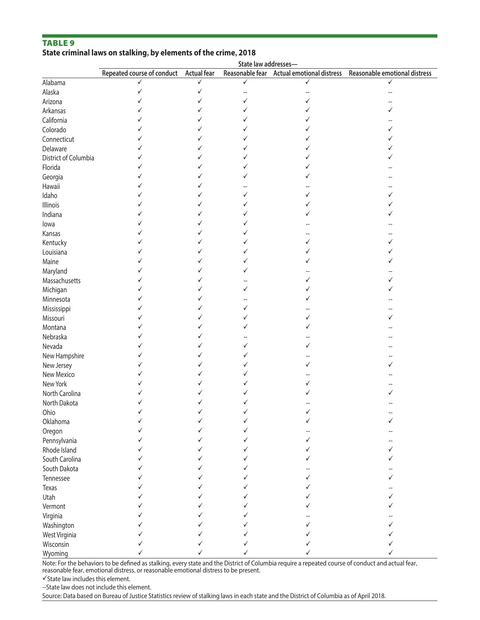# TABLE 9 **State criminal laws on stalking, by elements of the crime, 2018**

|                      |                            |                    | State law addresses- |                                           |                               |
|----------------------|----------------------------|--------------------|----------------------|-------------------------------------------|-------------------------------|
|                      | Repeated course of conduct | <b>Actual fear</b> |                      | Reasonable fear Actual emotional distress | Reasonable emotional distress |
| Alabama              |                            |                    | ✓                    | ✓                                         |                               |
| Alaska               | √                          |                    |                      |                                           |                               |
| Arizona              |                            |                    |                      |                                           |                               |
| Arkansas             |                            |                    |                      |                                           |                               |
| California           |                            |                    |                      |                                           |                               |
| Colorado             |                            |                    |                      |                                           |                               |
| Connecticut          |                            |                    |                      |                                           |                               |
| Delaware             |                            |                    |                      |                                           |                               |
| District of Columbia |                            |                    |                      |                                           |                               |
| Florida              |                            |                    |                      |                                           |                               |
| Georgia              |                            |                    |                      |                                           |                               |
| Hawaii               |                            |                    |                      |                                           |                               |
| Idaho                |                            |                    |                      |                                           |                               |
| Illinois             |                            |                    |                      |                                           |                               |
| Indiana              |                            |                    |                      |                                           |                               |
| lowa                 |                            |                    |                      |                                           |                               |
| Kansas               |                            |                    |                      |                                           |                               |
| Kentucky             |                            |                    |                      |                                           |                               |
| Louisiana            |                            |                    |                      |                                           |                               |
| Maine                |                            |                    |                      |                                           |                               |
| Maryland             |                            |                    |                      |                                           |                               |
| Massachusetts        |                            |                    |                      |                                           |                               |
| Michigan             |                            |                    |                      |                                           |                               |
| Minnesota            |                            |                    |                      |                                           |                               |
|                      |                            |                    |                      |                                           |                               |
| Mississippi          |                            |                    |                      | ✓                                         |                               |
| Missouri             |                            |                    |                      |                                           |                               |
| Montana              |                            |                    |                      |                                           |                               |
| Nebraska             |                            |                    |                      |                                           |                               |
| Nevada               |                            |                    |                      |                                           |                               |
| New Hampshire        |                            |                    |                      |                                           |                               |
| New Jersey           |                            |                    |                      |                                           |                               |
| New Mexico           |                            |                    |                      |                                           |                               |
| New York             |                            |                    |                      |                                           |                               |
| North Carolina       |                            |                    |                      |                                           |                               |
| North Dakota         |                            |                    |                      |                                           |                               |
| Ohio                 |                            |                    |                      |                                           |                               |
| Oklahoma             |                            |                    |                      |                                           |                               |
| Oregon               |                            |                    |                      |                                           |                               |
| Pennsylvania         |                            |                    |                      |                                           |                               |
| Rhode Island         |                            |                    |                      |                                           |                               |
| South Carolina       |                            |                    |                      |                                           |                               |
| South Dakota         |                            |                    |                      |                                           |                               |
| Tennessee            |                            |                    |                      |                                           |                               |
| Texas                |                            |                    |                      |                                           |                               |
| Utah                 |                            |                    |                      |                                           |                               |
| Vermont              |                            |                    |                      |                                           |                               |
| Virginia             |                            |                    |                      |                                           |                               |
| Washington           |                            |                    |                      |                                           |                               |
| West Virginia        |                            |                    |                      |                                           |                               |
| Wisconsin            |                            |                    |                      |                                           |                               |
| Wyoming              |                            |                    |                      |                                           |                               |

Note: For the behaviors to be defned as stalking, every state and the District of Columbia require a repeated course of conduct and actual fear, reasonable fear, emotional distress, or reasonable emotional distress to be present.

 $\checkmark$  State law includes this element.

--State law does not include this element.

Source: Data based on Bureau of Justice Statistics review of stalking laws in each state and the District of Columbia as of April 2018.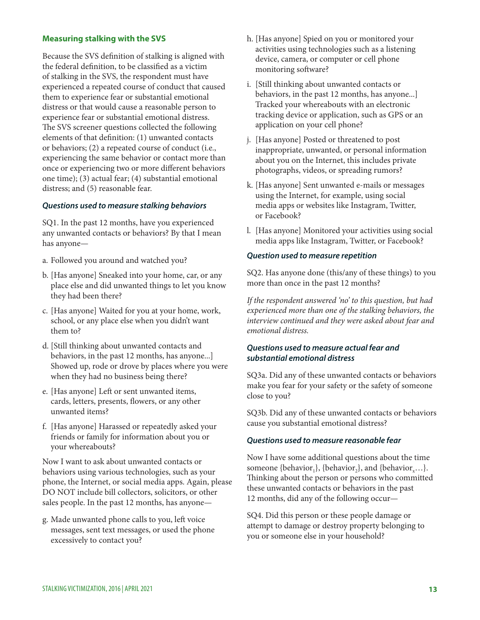# **Measuring stalking with the SVS**

Because the SVS defnition of stalking is aligned with the federal defnition, to be classifed as a victim of stalking in the SVS, the respondent must have experienced a repeated course of conduct that caused them to experience fear or substantial emotional distress or that would cause a reasonable person to experience fear or substantial emotional distress. The SVS screener questions collected the following elements of that defnition: (1) unwanted contacts or behaviors; (2) a repeated course of conduct (i.e., experiencing the same behavior or contact more than once or experiencing two or more diferent behaviors one time); (3) actual fear; (4) substantial emotional distress; and (5) reasonable fear.

#### *Questions used to measure stalking behaviors*

SQ1. In the past 12 months, have you experienced any unwanted contacts or behaviors? By that I mean has anyone—

- a. Followed you around and watched you?
- b. [Has anyone] Sneaked into your home, car, or any place else and did unwanted things to let you know they had been there?
- c. [Has anyone] Waited for you at your home, work, school, or any place else when you didn't want them to?
- d. [Still thinking about unwanted contacts and behaviors, in the past 12 months, has anyone...] Showed up, rode or drove by places where you were when they had no business being there?
- e. [Has anyone] Left or sent unwanted items, cards, letters, presents, flowers, or any other unwanted items?
- f. [Has anyone] Harassed or repeatedly asked your friends or family for information about you or your whereabouts?

Now I want to ask about unwanted contacts or behaviors using various technologies, such as your phone, the Internet, or social media apps. Again, please DO NOT include bill collectors, solicitors, or other sales people. In the past 12 months, has anyone—

g. Made unwanted phone calls to you, left voice messages, sent text messages, or used the phone excessively to contact you?

- h. [Has anyone] Spied on you or monitored your activities using technologies such as a listening device, camera, or computer or cell phone monitoring software?
- i. [Still thinking about unwanted contacts or behaviors, in the past 12 months, has anyone...] Tracked your whereabouts with an electronic tracking device or application, such as GPS or an application on your cell phone?
- j. [Has anyone] Posted or threatened to post inappropriate, unwanted, or personal information about you on the Internet, this includes private photographs, videos, or spreading rumors?
- k. [Has anyone] Sent unwanted e-mails or messages using the Internet, for example, using social media apps or websites like Instagram, Twitter, or Facebook?
- l. [Has anyone] Monitored your activities using social media apps like Instagram, Twitter, or Facebook?

#### *Question used to measure repetition*

SQ2. Has anyone done (this/any of these things) to you more than once in the past 12 months?

*If the respondent answered 'no' to this question, but had experienced more than one of the stalking behaviors, the interview continued and they were asked about fear and emotional distress.* 

# *Questions used to measure actual fear and substantial emotional distress*

SQ3a. Did any of these unwanted contacts or behaviors make you fear for your safety or the safety of someone close to you?

SQ3b. Did any of these unwanted contacts or behaviors cause you substantial emotional distress?

#### *Questions used to measure reasonable fear*

Now I have some additional questions about the time someone {behavior<sub>1</sub>}, {behavior<sub>2</sub>}, and {behavior<sub>x</sub>...}. Thinking about the person or persons who committed these unwanted contacts or behaviors in the past 12 months, did any of the following occur—

SQ4. Did this person or these people damage or attempt to damage or destroy property belonging to you or someone else in your household?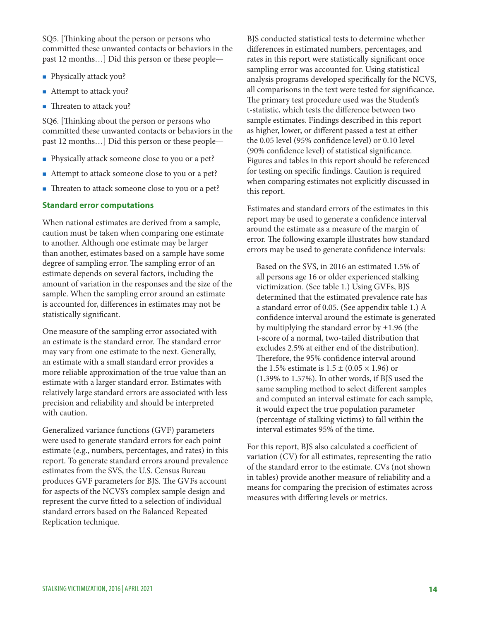SQ5. [Thinking about the person or persons who committed these unwanted contacts or behaviors in the past 12 months…] Did this person or these people—

- **Physically attack you?**
- Attempt to attack you?
- Threaten to attack you?

SQ6. Thinking about the person or persons who committed these unwanted contacts or behaviors in the past 12 months…] Did this person or these people—

- **Physically attack someone close to you or a pet?**
- Attempt to attack someone close to you or a pet?
- Threaten to attack someone close to you or a pet?

# **Standard error computations**

When national estimates are derived from a sample, caution must be taken when comparing one estimate to another. Although one estimate may be larger than another, estimates based on a sample have some degree of sampling error. The sampling error of an estimate depends on several factors, including the amount of variation in the responses and the size of the sample. When the sampling error around an estimate is accounted for, diferences in estimates may not be statistically signifcant.

One measure of the sampling error associated with an estimate is the standard error. The standard error may vary from one estimate to the next. Generally, an estimate with a small standard error provides a more reliable approximation of the true value than an estimate with a larger standard error. Estimates with relatively large standard errors are associated with less precision and reliability and should be interpreted with caution.

Generalized variance functions (GVF) parameters were used to generate standard errors for each point estimate (e.g., numbers, percentages, and rates) in this report. To generate standard errors around prevalence estimates from the SVS, the U.S. Census Bureau produces GVF parameters for BJS. The GVFs account for aspects of the NCVS's complex sample design and represent the curve ftted to a selection of individual standard errors based on the Balanced Repeated Replication technique.

BJS conducted statistical tests to determine whether diferences in estimated numbers, percentages, and rates in this report were statistically signifcant once sampling error was accounted for. Using statistical analysis programs developed specifcally for the NCVS, all comparisons in the text were tested for signifcance. The primary test procedure used was the Student's t-statistic, which tests the diference between two sample estimates. Findings described in this report as higher, lower, or diferent passed a test at either the 0.05 level (95% confdence level) or 0.10 level (90% confdence level) of statistical signifcance. Figures and tables in this report should be referenced for testing on specifc fndings. Caution is required when comparing estimates not explicitly discussed in this report.

Estimates and standard errors of the estimates in this report may be used to generate a confdence interval around the estimate as a measure of the margin of error. The following example illustrates how standard errors may be used to generate confdence intervals:

Based on the SVS, in 2016 an estimated 1.5% of all persons age 16 or older experienced stalking victimization. (See table 1.) Using GVFs, BJS determined that the estimated prevalence rate has a standard error of 0.05. (See appendix table 1.) A confdence interval around the estimate is generated by multiplying the standard error by  $\pm$ 1.96 (the t-score of a normal, two-tailed distribution that excludes 2.5% at either end of the distribution). Therefore, the 95% confidence interval around the 1.5% estimate is  $1.5 \pm (0.05 \times 1.96)$  or (1.39% to 1.57%). In other words, if BJS used the same sampling method to select diferent samples and computed an interval estimate for each sample, it would expect the true population parameter (percentage of stalking victims) to fall within the interval estimates 95% of the time.

For this report, BJS also calculated a coefficient of variation (CV) for all estimates, representing the ratio of the standard error to the estimate. CVs (not shown in tables) provide another measure of reliability and a means for comparing the precision of estimates across measures with difering levels or metrics.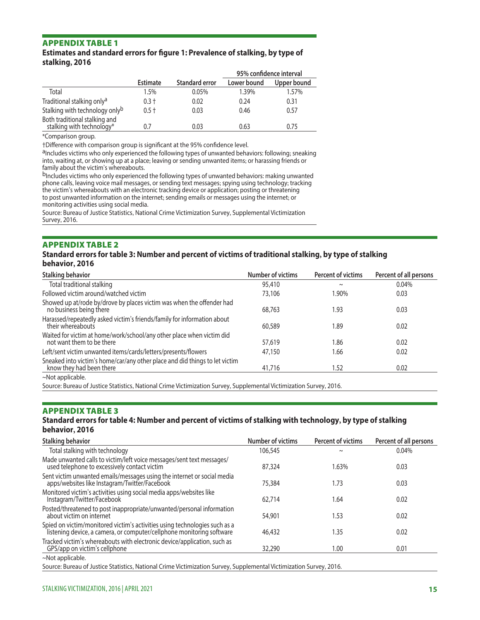# APPENDIX TABLE 1

# **Estimates and standard errors for fgure 1: Prevalence of stalking, by type of stalking, 2016**

|                                                            |                 |                | 95% confidence interval |             |
|------------------------------------------------------------|-----------------|----------------|-------------------------|-------------|
|                                                            | <b>Estimate</b> | Standard error | Lower bound             | Upper bound |
| Total                                                      | 1.5%            | $0.05\%$       | 1.39%                   | 1.57%       |
| Traditional stalking only <sup>a</sup>                     | $0.3 +$         | 0.02           | 0.24                    | 0.31        |
| Stalking with technology onlyb                             | $0.5 +$         | 0.03           | 0.46                    | 0.57        |
| Both traditional stalking and<br>stalking with technology* | 0.7             | 0.03           | 0.63                    | 0.75        |

\*Comparison group.

†Diference with comparison group is signifcant at the 95% confdence level.

aIncludes victims who only experienced the following types of unwanted behaviors: following; sneaking into, waiting at, or showing up at a place; leaving or sending unwanted items; or harassing friends or family about the victim's whereabouts.

bIncludes victims who only experienced the following types of unwanted behaviors: making unwanted phone calls, leaving voice mail messages, or sending text messages; spying using technology; tracking the victim's whereabouts with an electronic tracking device or application; posting or threatening to post unwanted information on the internet; sending emails or messages using the internet; or monitoring activities using social media.

Source: Bureau of Justice Statistics, National Crime Victimization Survey, Supplemental Victimization Survey, 2016.

# APPENDIX TABLE 2

#### **Standard errors for table 3: Number and percent of victims of traditional stalking, by type of stalking behavior, 2016**

| <b>Stalking behavior</b>                                                                                        | <b>Number of victims</b> | Percent of victims | Percent of all persons |
|-----------------------------------------------------------------------------------------------------------------|--------------------------|--------------------|------------------------|
| Total traditional stalking                                                                                      | 95,410                   | $\sim$             | 0.04%                  |
| Followed victim around/watched victim                                                                           | 73,106                   | 1.90%              | 0.03                   |
| Showed up at/rode by/drove by places victim was when the offender had<br>no business being there                | 68,763                   | 1.93               | 0.03                   |
| Harassed/repeatedly asked victim's friends/family for information about<br>their whereabouts                    | 60,589                   | 1.89               | 0.02                   |
| Waited for victim at home/work/school/any other place when victim did<br>not want them to be there              | 57,619                   | 1.86               | 0.02                   |
| Left/sent victim unwanted items/cards/letters/presents/flowers                                                  | 47,150                   | 1.66               | 0.02                   |
| Sneaked into victim's home/car/any other place and did things to let victim<br>know they had been there         | 41,716                   | 1.52               | 0.02                   |
| ~Not applicable.                                                                                                |                          |                    |                        |
| Course Pureau of Justice Ctatistics, National Crime Victimization Survey Supplemental Victimization Survey 2016 |                          |                    |                        |

Source: Bureau of Justice Statistics, National Crime Victimization Survey, Supplemental Victimization Survey, 2016.

# APPENDIX TABLE 3 **Standard errors for table 4: Number and percent of victims of stalking with technology, by type of stalking behavior, 2016**

| <b>Stalking behavior</b>                                                                                                                            | <b>Number of victims</b> | <b>Percent of victims</b> | Percent of all persons |
|-----------------------------------------------------------------------------------------------------------------------------------------------------|--------------------------|---------------------------|------------------------|
| Total stalking with technology                                                                                                                      | 106,545                  | $\tilde{}$                | 0.04%                  |
| Made unwanted calls to victim/left voice messages/sent text messages/<br>used telephone to excessively contact victim                               | 87,324                   | 1.63%                     | 0.03                   |
| Sent victim unwanted emails/messages using the internet or social media<br>apps/websites like Instagram/Twitter/Facebook                            | 75,384                   | 1.73                      | 0.03                   |
| Monitored victim's activities using social media apps/websites like<br>Instagram/Twitter/Facebook                                                   | 62,714                   | 1.64                      | 0.02                   |
| Posted/threatened to post inappropriate/unwanted/personal information<br>about victim on internet                                                   | 54,901                   | 1.53                      | 0.02                   |
| Spied on victim/monitored victim's activities using technologies such as a<br>listening device, a camera, or computer/cellphone monitoring software | 46,432                   | 1.35                      | 0.02                   |
| Tracked victim's whereabouts with electronic device/application, such as<br>GPS/app on victim's cellphone                                           | 32,290                   | 1.00                      | 0.01                   |
| $\sim$ Not applicable.                                                                                                                              |                          |                           |                        |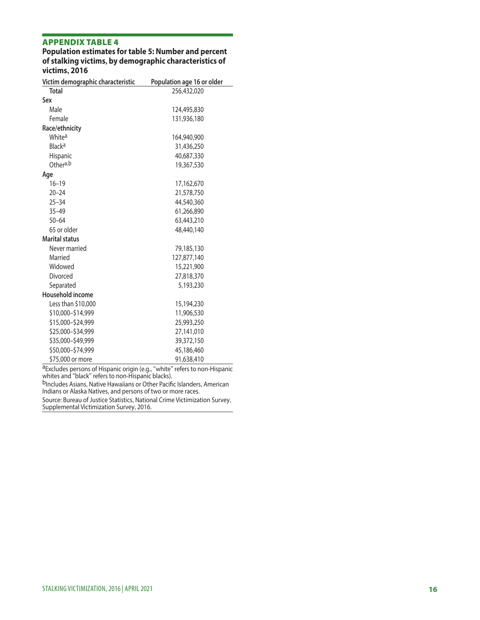# APPENDIX TABLE 4

#### **Population estimates for table 5: Number and percent of stalking victims, by demographic characteristics of victims, 2016**

| Victim demographic characteristic | Population age 16 or older |
|-----------------------------------|----------------------------|
| <b>Total</b>                      | 256,432,020                |
| Sex                               |                            |
| Male                              | 124,495,830                |
| Female                            | 131,936,180                |
| Race/ethnicity                    |                            |
| White <sup>a</sup>                | 164,940,900                |
| Black <sup>a</sup>                | 31,436,250                 |
| Hispanic                          | 40,687,330                 |
| Othera,b                          | 19,367,530                 |
| Age                               |                            |
| $16 - 19$                         | 17,162,670                 |
| $20 - 24$                         | 21,578,750                 |
| $25 - 34$                         | 44,540,360                 |
| $35 - 49$                         | 61,266,890                 |
| $50 - 64$                         | 63,443,210                 |
| 65 or older                       | 48,440,140                 |
| <b>Marital status</b>             |                            |
| Never married                     | 79,185,130                 |
| Married                           | 127,877,140                |
| Widowed                           | 15,221,900                 |
| Divorced                          | 27,818,370                 |
| Separated                         | 5,193,230                  |
| Household income                  |                            |
| Less than \$10,000                | 15,194,230                 |
| \$10,000-\$14,999                 | 11,906,530                 |
| \$15,000-\$24,999                 | 25,993,250                 |
| \$25,000-\$34,999                 | 27,141,010                 |
| \$35,000-\$49,999                 | 39,372,150                 |
| \$50,000-\$74,999                 | 45,186,460                 |
| 575.000 or more                   | 01 638 410                 |

\$75,000 or more 91,638,410 aExcludes persons of Hispanic origin (e.g., "white" refers to non-Hispanic whites and "black" refers to non-Hispanic blacks).

 $<sup>b</sup>$ Includes Asians, Native Hawaiians or Other Pacific Islanders, American</sup> Indians or Alaska Natives, and persons of two or more races.